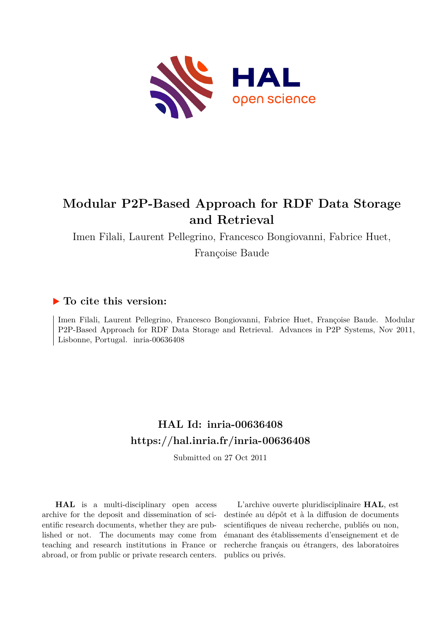

# **Modular P2P-Based Approach for RDF Data Storage and Retrieval**

Imen Filali, Laurent Pellegrino, Francesco Bongiovanni, Fabrice Huet,

Françoise Baude

## **To cite this version:**

Imen Filali, Laurent Pellegrino, Francesco Bongiovanni, Fabrice Huet, Françoise Baude. Modular P2P-Based Approach for RDF Data Storage and Retrieval. Advances in P2P Systems, Nov 2011, Lisbonne, Portugal. inria-00636408

# **HAL Id: inria-00636408 <https://hal.inria.fr/inria-00636408>**

Submitted on 27 Oct 2011

**HAL** is a multi-disciplinary open access archive for the deposit and dissemination of scientific research documents, whether they are published or not. The documents may come from teaching and research institutions in France or abroad, or from public or private research centers.

L'archive ouverte pluridisciplinaire **HAL**, est destinée au dépôt et à la diffusion de documents scientifiques de niveau recherche, publiés ou non, émanant des établissements d'enseignement et de recherche français ou étrangers, des laboratoires publics ou privés.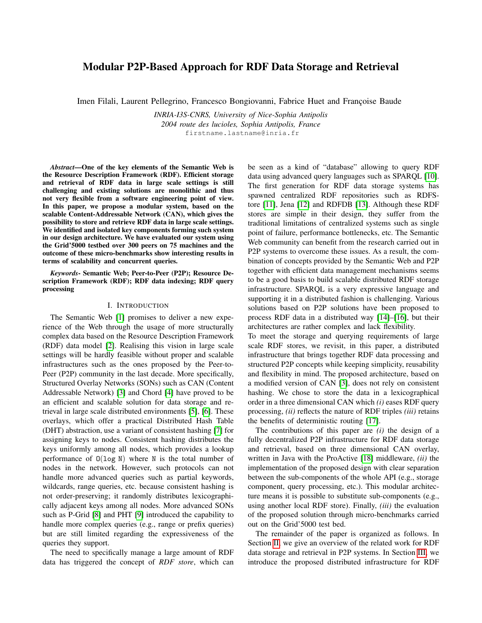### Modular P2P-Based Approach for RDF Data Storage and Retrieval

Imen Filali, Laurent Pellegrino, Francesco Bongiovanni, Fabrice Huet and Françoise Baude

*INRIA-I3S-CNRS, University of Nice-Sophia Antipolis 2004 route des lucioles, Sophia Antipolis, France* firstname.lastname@inria.fr

*Abstract*—One of the key elements of the Semantic Web is the Resource Description Framework (RDF). Efficient storage and retrieval of RDF data in large scale settings is still challenging and existing solutions are monolithic and thus not very flexible from a software engineering point of view. In this paper, we propose a modular system, based on the scalable Content-Addressable Network (CAN), which gives the possibility to store and retrieve RDF data in large scale settings. We identified and isolated key components forming such system in our design architecture. We have evaluated our system using the Grid'5000 testbed over 300 peers on 75 machines and the outcome of these micro-benchmarks show interesting results in terms of scalability and concurrent queries.

*Keywords*- Semantic Web; Peer-to-Peer (P2P); Resource Description Framework (RDF); RDF data indexing; RDF query processing

#### I. INTRODUCTION

The Semantic Web [1] promises to deliver a new experience of the Web through the usage of more structurally complex data based on the Resource Description Framework (RDF) data model [2]. Realising this vision in large scale settings will be hardly feasible without proper and scalable infrastructures such as the ones proposed by the Peer-to-Peer (P2P) community in the last decade. More specifically, Structured Overlay Networks (SONs) such as CAN (Content Addressable Network) [3] and Chord [4] have proved to be an efficient and scalable solution for data storage and retrieval in large scale distributed environments [5], [6]. These overlays, which offer a practical Distributed Hash Table (DHT) abstraction, use a variant of consistent hashing [7] for assigning keys to nodes. Consistent hashing distributes the keys uniformly among all nodes, which provides a lookup performance of  $O(log N)$  where N is the total number of nodes in the network. However, such protocols can not handle more advanced queries such as partial keywords, wildcards, range queries, etc. because consistent hashing is not order-preserving; it randomly distributes lexicographically adjacent keys among all nodes. More advanced SONs such as P-Grid [8] and PHT [9] introduced the capability to handle more complex queries (e.g., range or prefix queries) but are still limited regarding the expressiveness of the queries they support.

The need to specifically manage a large amount of RDF data has triggered the concept of *RDF store*, which can be seen as a kind of "database" allowing to query RDF data using advanced query languages such as SPARQL [10]. The first generation for RDF data storage systems has spawned centralized RDF repositories such as RDFStore [11], Jena [12] and RDFDB [13]. Although these RDF stores are simple in their design, they suffer from the traditional limitations of centralized systems such as single point of failure, performance bottlenecks, etc. The Semantic Web community can benefit from the research carried out in P2P systems to overcome these issues. As a result, the combination of concepts provided by the Semantic Web and P2P together with efficient data management mechanisms seems to be a good basis to build scalable distributed RDF storage infrastructure. SPARQL is a very expressive language and supporting it in a distributed fashion is challenging. Various solutions based on P2P solutions have been proposed to process RDF data in a distributed way [14]–[16], but their architectures are rather complex and lack flexibility.

To meet the storage and querying requirements of large scale RDF stores, we revisit, in this paper, a distributed infrastructure that brings together RDF data processing and structured P2P concepts while keeping simplicity, reusability and flexibility in mind. The proposed architecture, based on a modified version of CAN [3], does not rely on consistent hashing. We chose to store the data in a lexicographical order in a three dimensional CAN which *(i)* eases RDF query processing, *(ii)* reflects the nature of RDF triples *(iii)* retains the benefits of deterministic routing [17].

The contributions of this paper are *(i)* the design of a fully decentralized P2P infrastructure for RDF data storage and retrieval, based on three dimensional CAN overlay, written in Java with the ProActive [18] middleware, *(ii)* the implementation of the proposed design with clear separation between the sub-components of the whole API (e.g., storage component, query processing, etc.). This modular architecture means it is possible to substitute sub-components (e.g., using another local RDF store). Finally, *(iii)* the evaluation of the proposed solution through micro-benchmarks carried out on the Grid'5000 test bed.

The remainder of the paper is organized as follows. In Section II, we give an overview of the related work for RDF data storage and retrieval in P2P systems. In Section III, we introduce the proposed distributed infrastructure for RDF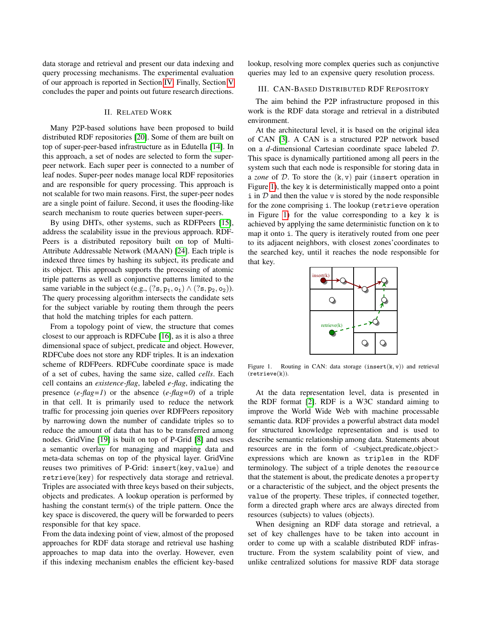data storage and retrieval and present our data indexing and query processing mechanisms. The experimental evaluation of our approach is reported in Section IV. Finally, Section V concludes the paper and points out future research directions.

#### II. RELATED WORK

Many P2P-based solutions have been proposed to build distributed RDF repositories [20]. Some of them are built on top of super-peer-based infrastructure as in Edutella [14]. In this approach, a set of nodes are selected to form the superpeer network. Each super peer is connected to a number of leaf nodes. Super-peer nodes manage local RDF repositories and are responsible for query processing. This approach is not scalable for two main reasons. First, the super-peer nodes are a single point of failure. Second, it uses the flooding-like search mechanism to route queries between super-peers.

By using DHTs, other systems, such as RDFPeers [15], address the scalability issue in the previous approach. RDF-Peers is a distributed repository built on top of Multi-Attribute Addressable Network (MAAN) [24]. Each triple is indexed three times by hashing its subject, its predicate and its object. This approach supports the processing of atomic triple patterns as well as conjunctive patterns limited to the same variable in the subject (e.g.,  $(?s, p_1, o_1) \wedge (?s, p_2, o_2))$ . The query processing algorithm intersects the candidate sets for the subject variable by routing them through the peers that hold the matching triples for each pattern.

From a topology point of view, the structure that comes closest to our approach is RDFCube [16], as it is also a three dimensional space of subject, predicate and object. However, RDFCube does not store any RDF triples. It is an indexation scheme of RDFPeers. RDFCube coordinate space is made of a set of cubes, having the same size, called *cells*. Each cell contains an *existence-flag*, labeled *e-flag*, indicating the presence (*e-flag=1*) or the absence (*e-flag=0*) of a triple in that cell. It is primarily used to reduce the network traffic for processing join queries over RDFPeers repository by narrowing down the number of candidate triples so to reduce the amount of data that has to be transferred among nodes. GridVine [19] is built on top of P-Grid [8] and uses a semantic overlay for managing and mapping data and meta-data schemas on top of the physical layer. GridVine reuses two primitives of P-Grid: insert(key, value) and retrieve(key) for respectively data storage and retrieval. Triples are associated with three keys based on their subjects, objects and predicates. A lookup operation is performed by hashing the constant term(s) of the triple pattern. Once the key space is discovered, the query will be forwarded to peers responsible for that key space.

From the data indexing point of view, almost of the proposed approaches for RDF data storage and retrieval use hashing approaches to map data into the overlay. However, even if this indexing mechanism enables the efficient key-based lookup, resolving more complex queries such as conjunctive queries may led to an expensive query resolution process.

#### III. CAN-BASED DISTRIBUTED RDF REPOSITORY

The aim behind the P2P infrastructure proposed in this work is the RDF data storage and retrieval in a distributed environment.

At the architectural level, it is based on the original idea of CAN [3]. A CAN is a structured P2P network based on a *d*-dimensional Cartesian coordinate space labeled D. This space is dynamically partitioned among all peers in the system such that each node is responsible for storing data in a *zone* of D. To store the (k, v) pair (insert operation in Figure 1), the key k is deterministically mapped onto a point  $\exists$  in  $D$  and then the value v is stored by the node responsible for the zone comprising i. The lookup (retrieve operation in Figure 1) for the value corresponding to a key k is achieved by applying the same deterministic function on k to map it onto i. The query is iteratively routed from one peer to its adjacent neighbors, with closest zones'coordinates to the searched key, until it reaches the node responsible for that key.



Figure 1. Routing in CAN: data storage  $(inset(k, v))$  and retrieval (retrieve(k)).

At the data representation level, data is presented in the RDF format [2]. RDF is a W3C standard aiming to improve the World Wide Web with machine processable semantic data. RDF provides a powerful abstract data model for structured knowledge representation and is used to describe semantic relationship among data. Statements about resources are in the form of <subject,predicate,object> expressions which are known as triples in the RDF terminology. The subject of a triple denotes the resource that the statement is about, the predicate denotes a property or a characteristic of the subject, and the object presents the value of the property. These triples, if connected together, form a directed graph where arcs are always directed from resources (subjects) to values (objects).

When designing an RDF data storage and retrieval, a set of key challenges have to be taken into account in order to come up with a scalable distributed RDF infrastructure. From the system scalability point of view, and unlike centralized solutions for massive RDF data storage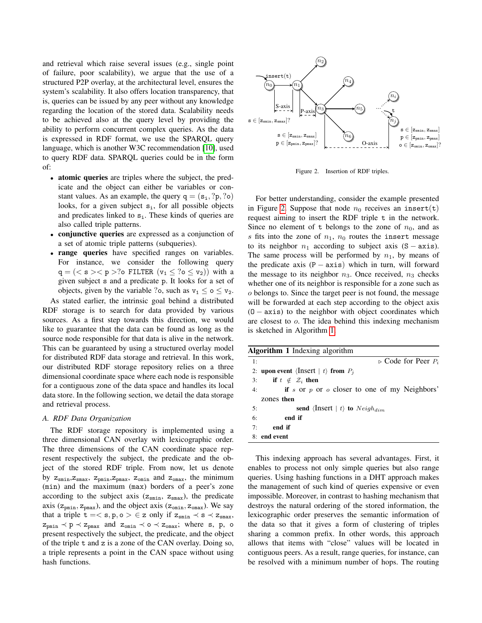and retrieval which raise several issues (e.g., single point of failure, poor scalability), we argue that the use of a structured P2P overlay, at the architectural level, ensures the system's scalability. It also offers location transparency, that is, queries can be issued by any peer without any knowledge regarding the location of the stored data. Scalability needs to be achieved also at the query level by providing the ability to perform concurrent complex queries. As the data is expressed in RDF format, we use the SPARQL query language, which is another W3C recommendation [10], used to query RDF data. SPARQL queries could be in the form of:

- atomic queries are triples where the subject, the predicate and the object can either be variables or constant values. As an example, the query  $q = (s_i, ?p, ?o)$ looks, for a given subject  $s_i$ , for all possible objects and predicates linked to  $s_i$ . These kinds of queries are also called triple patterns.
- conjunctive queries are expressed as a conjunction of a set of atomic triple patterns (subqueries).
- range queries have specified ranges on variables. For instance, we consider the following query  $q = \left( \langle s \rangle \langle p \rangle \right)$  of FILTER  $(v_1 \leq ? \circ \leq v_2)$  with a given subject s and a predicate p. It looks for a set of objects, given by the variable ?o, such as  $v_1 \le o \le v_2$ .

As stated earlier, the intrinsic goal behind a distributed RDF storage is to search for data provided by various sources. As a first step towards this direction, we would like to guarantee that the data can be found as long as the source node responsible for that data is alive in the network. This can be guaranteed by using a structured overlay model for distributed RDF data storage and retrieval. In this work, our distributed RDF storage repository relies on a three dimensional coordinate space where each node is responsible for a contiguous zone of the data space and handles its local data store. In the following section, we detail the data storage and retrieval process.

#### *A. RDF Data Organization*

The RDF storage repository is implemented using a three dimensional CAN overlay with lexicographic order. The three dimensions of the CAN coordinate space represent respectively the subject, the predicate and the object of the stored RDF triple. From now, let us denote by  $z_{\text{smin}}$ ,  $z_{\text{smin}}$ ,  $z_{\text{pmin}}$ ,  $z_{\text{pmax}}$ ,  $z_{\text{omin}}$  and  $z_{\text{omax}}$ , the minimum (min) and the maximum (max) borders of a peer's zone according to the subject axis ( $z_{\text{smin}}$ ,  $z_{\text{smax}}$ ), the predicate axis ( $z_{pmin}$ ,  $z_{pmax}$ ), and the object axis ( $z_{omin}$ ,  $z_{omax}$ ). We say that a triple  $t = < s, p, o > \epsilon z$  only if  $z_{\text{smin}} \prec s \prec z_{\text{smax}}$ ,  $z_{pmin} \prec p \prec z_{pmax}$  and  $z_{omin} \prec o \prec z_{omax}$ ; where s, p, o present respectively the subject, the predicate, and the object of the triple t and z is a zone of the CAN overlay. Doing so, a triple represents a point in the CAN space without using hash functions.



Figure 2. Insertion of RDF triples.

For better understanding, consider the example presented in Figure 2. Suppose that node  $n_0$  receives an insert(t) request aiming to insert the RDF triple t in the network. Since no element of t belongs to the zone of  $n_0$ , and as s fits into the zone of  $n_1$ ,  $n_0$  routes the insert message to its neighbor  $n_1$  according to subject axis (S – axis). The same process will be performed by  $n_1$ , by means of the predicate axis  $(P - axis)$  which in turn, will forward the message to its neighbor  $n_3$ . Once received,  $n_3$  checks whether one of its neighbor is responsible for a zone such as o belongs to. Since the target peer is not found, the message will be forwarded at each step according to the object axis (O − axis) to the neighbor with object coordinates which are closest to o. The idea behind this indexing mechanism is sketched in Algorithm 1.

| <b>Algorithm 1</b> Indexing algorithm |                                                       |  |  |  |  |
|---------------------------------------|-------------------------------------------------------|--|--|--|--|
| 1:                                    | $\triangleright$ Code for Peer $P_i$                  |  |  |  |  |
|                                       | 2: upon event $\langle$ Insert $ t\rangle$ from $P_i$ |  |  |  |  |
| 3:                                    | if $t \notin \mathcal{Z}_i$ then                      |  |  |  |  |
| 4:                                    | if s or p or $\circ$ closer to one of my Neighbors'   |  |  |  |  |
|                                       | zones then                                            |  |  |  |  |
| 5:                                    | send $\langle$ Insert   t $\rangle$ to $Neigh_{dim}$  |  |  |  |  |
| 6:                                    | end if                                                |  |  |  |  |
| 7:                                    | end if                                                |  |  |  |  |
|                                       | 8: end event                                          |  |  |  |  |
|                                       |                                                       |  |  |  |  |

This indexing approach has several advantages. First, it enables to process not only simple queries but also range queries. Using hashing functions in a DHT approach makes the management of such kind of queries expensive or even impossible. Moreover, in contrast to hashing mechanism that destroys the natural ordering of the stored information, the lexicographic order preserves the semantic information of the data so that it gives a form of clustering of triples sharing a common prefix. In other words, this approach allows that items with "close" values will be located in contiguous peers. As a result, range queries, for instance, can be resolved with a minimum number of hops. The routing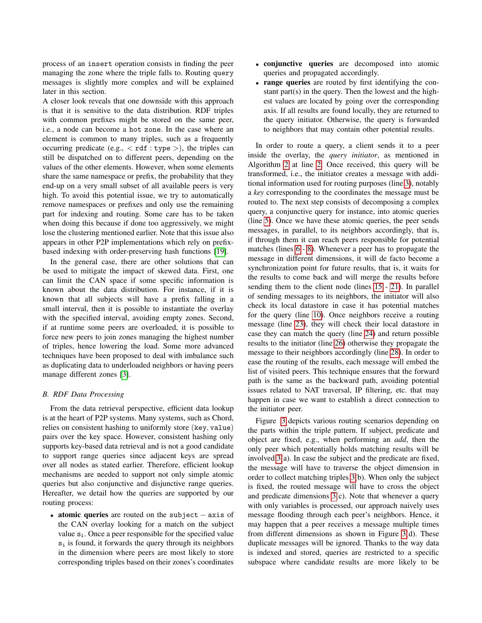process of an insert operation consists in finding the peer managing the zone where the triple falls to. Routing query messages is slightly more complex and will be explained later in this section.

A closer look reveals that one downside with this approach is that it is sensitive to the data distribution. RDF triples with common prefixes might be stored on the same peer, i.e., a node can become a hot zone. In the case where an element is common to many triples, such as a frequently occurring predicate (e.g.,  $\langle$  rdf : type  $\rangle$ ), the triples can still be dispatched on to different peers, depending on the values of the other elements. However, when some elements share the same namespace or prefix, the probability that they end-up on a very small subset of all available peers is very high. To avoid this potential issue, we try to automatically remove namespaces or prefixes and only use the remaining part for indexing and routing. Some care has to be taken when doing this because if done too aggressively, we might lose the clustering mentioned earlier. Note that this issue also appears in other P2P implementations which rely on prefixbased indexing with order-preserving hash functions [19].

In the general case, there are other solutions that can be used to mitigate the impact of skewed data. First, one can limit the CAN space if some specific information is known about the data distribution. For instance, if it is known that all subjects will have a prefix falling in a small interval, then it is possible to instantiate the overlay with the specified interval, avoiding empty zones. Second, if at runtime some peers are overloaded, it is possible to force new peers to join zones managing the highest number of triples, hence lowering the load. Some more advanced techniques have been proposed to deal with imbalance such as duplicating data to underloaded neighbors or having peers manage different zones [3].

#### *B. RDF Data Processing*

From the data retrieval perspective, efficient data lookup is at the heart of P2P systems. Many systems, such as Chord, relies on consistent hashing to uniformly store (key, value) pairs over the key space. However, consistent hashing only supports key-based data retrieval and is not a good candidate to support range queries since adjacent keys are spread over all nodes as stated earlier. Therefore, efficient lookup mechanisms are needed to support not only simple atomic queries but also conjunctive and disjunctive range queries. Hereafter, we detail how the queries are supported by our routing process:

• atomic queries are routed on the subject – axis of the CAN overlay looking for a match on the subject value  $s_i$ . Once a peer responsible for the specified value  $s_i$  is found, it forwards the query through its neighbors in the dimension where peers are most likely to store corresponding triples based on their zones's coordinates

- conjunctive queries are decomposed into atomic queries and propagated accordingly.
- range queries are routed by first identifying the constant part(s) in the query. Then the lowest and the highest values are located by going over the corresponding axis. If all results are found locally, they are returned to the query initiator. Otherwise, the query is forwarded to neighbors that may contain other potential results.

In order to route a query, a client sends it to a peer inside the overlay, the *query initiator*, as mentioned in Algorithm 2 at line 2. Once received, this query will be transformed, i.e., the initiator creates a message with additional information used for routing purposes (line 3), notably a *key* corresponding to the coordinates the message must be routed to. The next step consists of decomposing a complex query, a conjunctive query for instance, into atomic queries (line 5). Once we have these atomic queries, the peer sends messages, in parallel, to its neighbors accordingly, that is, if through them it can reach peers responsible for potential matches (lines 6 - 8). Whenever a peer has to propagate the message in different dimensions, it will de facto become a synchronization point for future results, that is, it waits for the results to come back and will merge the results before sending them to the client node (lines 15 - 21). In parallel of sending messages to its neighbors, the initiator will also check its local datastore in case it has potential matches for the query (line 10). Once neighbors receive a routing message (line 23), they will check their local datastore in case they can match the query (line 24) and return possible results to the initiator (line 26) otherwise they propagate the message to their neighbors accordingly (line 28). In order to ease the routing of the results, each message will embed the list of visited peers. This technique ensures that the forward path is the same as the backward path, avoiding potential issues related to NAT traversal, IP filtering, etc. that may happen in case we want to establish a direct connection to the initiator peer.

Figure 3 depicts various routing scenarios depending on the parts within the triple pattern. If subject, predicate and object are fixed, e.g., when performing an *add*, then the only peer which potentially holds matching results will be involved 3(a). In case the subject and the predicate are fixed, the message will have to traverse the object dimension in order to collect matching triples 3(b). When only the subject is fixed, the routed message will have to cross the object and predicate dimensions 3(c). Note that whenever a query with only variables is processed, our approach naively uses message flooding through each peer's neighbors. Hence, it may happen that a peer receives a message multiple times from different dimensions as shown in Figure 3(d). These duplicate messages will be ignored. Thanks to the way data is indexed and stored, queries are restricted to a specific subspace where candidate results are more likely to be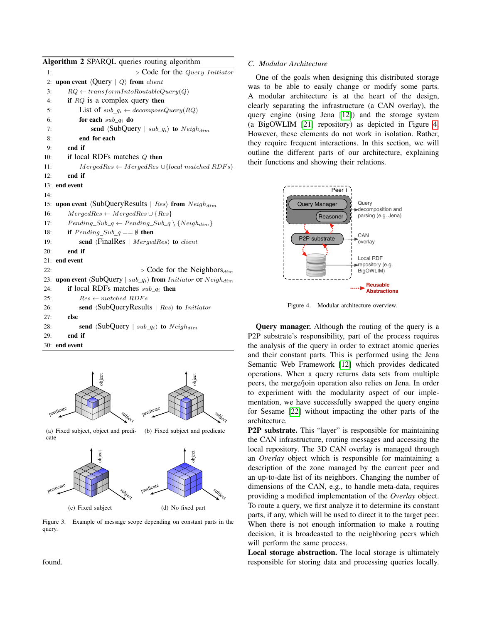| Algorithm 2 SPARQL queries routing algorithm |                                                                                                |  |  |  |  |  |  |
|----------------------------------------------|------------------------------------------------------------------------------------------------|--|--|--|--|--|--|
| 1:                                           | $\triangleright$ Code for the $Query\;Initiator$                                               |  |  |  |  |  |  |
| 2:                                           | upon event $\langle \text{Query}   Q \rangle$ from <i>client</i>                               |  |  |  |  |  |  |
| 3:                                           | $RQ \leftarrow transformIntoRoundableQuery(Q)$                                                 |  |  |  |  |  |  |
| 4:                                           | if $RQ$ is a complex query then                                                                |  |  |  |  |  |  |
| 5:                                           | List of $sub_q_i \leftarrow decomposeQuery(RQ)$                                                |  |  |  |  |  |  |
| 6:                                           | for each $sub_q$ do                                                                            |  |  |  |  |  |  |
| 7:                                           | send $\langle \text{SubQuery} \mid sub_q \rangle$ to $Neigh_{dim}$                             |  |  |  |  |  |  |
| 8:                                           | end for each                                                                                   |  |  |  |  |  |  |
| 9:                                           | end if                                                                                         |  |  |  |  |  |  |
| 10:                                          | if local RDFs matches $Q$ then                                                                 |  |  |  |  |  |  |
| 11:                                          | $MergeRes \leftarrow MergedRes \cup \{local \ matched \ RDFs\}$                                |  |  |  |  |  |  |
| 12:                                          | end if                                                                                         |  |  |  |  |  |  |
|                                              | 13: end event                                                                                  |  |  |  |  |  |  |
| 14:                                          |                                                                                                |  |  |  |  |  |  |
| 15:                                          | upon event $\langle \text{SubQueryResults} \mid Res \rangle$ from $Neigh_{dim}$                |  |  |  |  |  |  |
| 16:                                          | $MergeRes \leftarrow MergedRes \cup \{Res\}$                                                   |  |  |  |  |  |  |
| 17:                                          | $Pending\_Sub_q \leftarrow Pending\_Sub_q \setminus \{Neigh_{dim}\}\$                          |  |  |  |  |  |  |
| 18:                                          | <b>if</b> Pending Sub $q == \emptyset$ then                                                    |  |  |  |  |  |  |
| 19:                                          | send $\langle FinalRes \mid MergedRes \rangle$ to <i>client</i>                                |  |  |  |  |  |  |
| 20:                                          | end if                                                                                         |  |  |  |  |  |  |
|                                              | 21: end event                                                                                  |  |  |  |  |  |  |
| 22:                                          | $\triangleright$ Code for the Neighbors $_{dim}$                                               |  |  |  |  |  |  |
| 23:                                          | upon event $\langle \text{SubQuery} \mid sub_q \rangle$ from <i>Initiator</i> or $Neigh_{dim}$ |  |  |  |  |  |  |
| 24:                                          | if local RDFs matches $sub\_q_i$ then                                                          |  |  |  |  |  |  |
| 25:                                          | $Res \leftarrow matched RDFs$                                                                  |  |  |  |  |  |  |
| 26:                                          | send $\langle SubQueryResults \mid Res \rangle$ to <i>Initiator</i>                            |  |  |  |  |  |  |
| 27:                                          | else                                                                                           |  |  |  |  |  |  |
| 28:                                          | send $\langle \text{SubQuery} \mid sub_q \rangle$ to $Neigh_{dim}$                             |  |  |  |  |  |  |
| 29:                                          | end if                                                                                         |  |  |  |  |  |  |

30: end event



(a) Fixed subject, object and predicate (b) Fixed subject and predicate



Figure 3. Example of message scope depending on constant parts in the query.

### *C. Modular Architecture*

One of the goals when designing this distributed storage was to be able to easily change or modify some parts. A modular architecture is at the heart of the design, clearly separating the infrastructure (a CAN overlay), the query engine (using Jena [12]) and the storage system (a BigOWLIM [21] repository) as depicted in Figure 4. However, these elements do not work in isolation. Rather, they require frequent interactions. In this section, we will outline the different parts of our architecture, explaining their functions and showing their relations.



Figure 4. Modular architecture overview.

Query manager. Although the routing of the query is a P2P substrate's responsibility, part of the process requires the analysis of the query in order to extract atomic queries and their constant parts. This is performed using the Jena Semantic Web Framework [12] which provides dedicated operations. When a query returns data sets from multiple peers, the merge/join operation also relies on Jena. In order to experiment with the modularity aspect of our implementation, we have successfully swapped the query engine for Sesame [22] without impacting the other parts of the architecture.

P2P substrate. This "layer" is responsible for maintaining the CAN infrastructure, routing messages and accessing the local repository. The 3D CAN overlay is managed through an *Overlay* object which is responsible for maintaining a description of the zone managed by the current peer and an up-to-date list of its neighbors. Changing the number of dimensions of the CAN, e.g., to handle meta-data, requires providing a modified implementation of the *Overlay* object. To route a query, we first analyze it to determine its constant parts, if any, which will be used to direct it to the target peer. When there is not enough information to make a routing decision, it is broadcasted to the neighboring peers which will perform the same process.

Local storage abstraction. The local storage is ultimately responsible for storing data and processing queries locally.

found.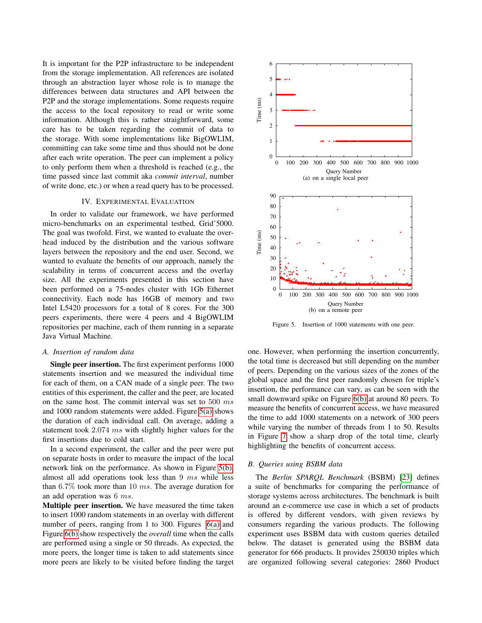It is important for the P2P infrastructure to be independent from the storage implementation. All references are isolated through an abstraction layer whose role is to manage the differences between data structures and API between the P2P and the storage implementations. Some requests require the access to the local repository to read or write some information. Although this is rather straightforward, some care has to be taken regarding the commit of data to the storage. With some implementations like BigOWLIM, committing can take some time and thus should not be done after each write operation. The peer can implement a policy to only perform them when a threshold is reached (e.g., the time passed since last commit aka *commit interval*, number of write done, etc.) or when a read query has to be processed.

#### IV. EXPERIMENTAL EVALUATION

In order to validate our framework, we have performed micro-benchmarks on an experimental testbed, Grid'5000. The goal was twofold. First, we wanted to evaluate the overhead induced by the distribution and the various software layers between the repository and the end user. Second, we wanted to evaluate the benefits of our approach, namely the scalability in terms of concurrent access and the overlay size. All the experiments presented in this section have been performed on a 75-nodes cluster with 1Gb Ethernet connectivity. Each node has 16GB of memory and two Intel L5420 processors for a total of 8 cores. For the 300 peers experiments, there were 4 peers and 4 BigOWLIM repositories per machine, each of them running in a separate Java Virtual Machine.

#### *A. Insertion of random data*

Single peer insertion. The first experiment performs 1000 statements insertion and we measured the individual time for each of them, on a CAN made of a single peer. The two entities of this experiment, the caller and the peer, are located on the same host. The commit interval was set to 500 ms and 1000 random statements were added. Figure 5(a) shows the duration of each individual call. On average, adding a statement took 2.074 ms with slightly higher values for the first insertions due to cold start.

In a second experiment, the caller and the peer were put on separate hosts in order to measure the impact of the local network link on the performance. As shown in Figure 5(b), almost all add operations took less than 9 ms while less than  $6.7\%$  took more than 10 ms. The average duration for an add operation was 6 ms.

Multiple peer insertion. We have measured the time taken to insert 1000 random statements in an overlay with different number of peers, ranging from 1 to 300. Figures 6(a) and Figure 6(b) show respectively the *overall* time when the calls are performed using a single or 50 threads. As expected, the more peers, the longer time is taken to add statements since more peers are likely to be visited before finding the target



Figure 5. Insertion of 1000 statements with one peer.

one. However, when performing the insertion concurrently, the total time is decreased but still depending on the number of peers. Depending on the various sizes of the zones of the global space and the first peer randomly chosen for triple's insertion, the performance can vary, as can be seen with the small downward spike on Figure 6(b) at around 80 peers. To measure the benefits of concurrent access, we have measured the time to add 1000 statements on a network of 300 peers while varying the number of threads from 1 to 50. Results in Figure 7 show a sharp drop of the total time, clearly highlighting the benefits of concurrent access.

#### *B. Queries using BSBM data*

The *Berlin SPARQL Benchmark* (BSBM) [23] defines a suite of benchmarks for comparing the performance of storage systems across architectures. The benchmark is built around an e-commerce use case in which a set of products is offered by different vendors, with given reviews by consumers regarding the various products. The following experiment uses BSBM data with custom queries detailed below. The dataset is generated using the BSBM data generator for 666 products. It provides 250030 triples which are organized following several categories: 2860 Product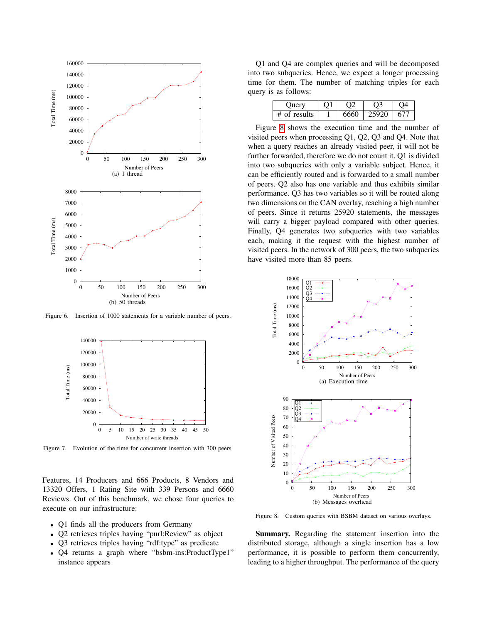

Figure 6. Insertion of 1000 statements for a variable number of peers.



Figure 7. Evolution of the time for concurrent insertion with 300 peers.

Features, 14 Producers and 666 Products, 8 Vendors and 13320 Offers, 1 Rating Site with 339 Persons and 6660 Reviews. Out of this benchmark, we chose four queries to execute on our infrastructure:

- Q1 finds all the producers from Germany
- Q2 retrieves triples having "purl:Review" as object
- Q3 retrieves triples having "rdf:type" as predicate
- Q4 returns a graph where "bsbm-ins:ProductType1" instance appears

Q1 and Q4 are complex queries and will be decomposed into two subqueries. Hence, we expect a longer processing time for them. The number of matching triples for each query is as follows:

| . )nerv    |  |  |
|------------|--|--|
| of results |  |  |

Figure 8 shows the execution time and the number of visited peers when processing Q1, Q2, Q3 and Q4. Note that when a query reaches an already visited peer, it will not be further forwarded, therefore we do not count it. Q1 is divided into two subqueries with only a variable subject. Hence, it can be efficiently routed and is forwarded to a small number of peers. Q2 also has one variable and thus exhibits similar performance. Q3 has two variables so it will be routed along two dimensions on the CAN overlay, reaching a high number of peers. Since it returns 25920 statements, the messages will carry a bigger payload compared with other queries. Finally, Q4 generates two subqueries with two variables each, making it the request with the highest number of visited peers. In the network of 300 peers, the two subqueries have visited more than 85 peers.



Figure 8. Custom queries with BSBM dataset on various overlays.

Summary. Regarding the statement insertion into the distributed storage, although a single insertion has a low performance, it is possible to perform them concurrently, leading to a higher throughput. The performance of the query